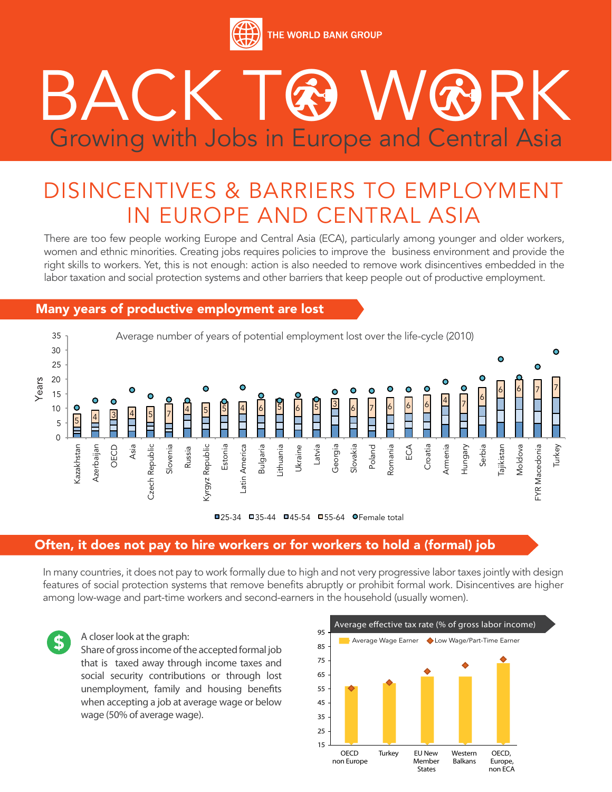

# BACK TO WORK Growing with Jobs in Europe and Central Asia

## DISINCENTIVES & BARRIERS TO EMPLOYMENT IN EUROPE AND CENTRAL ASIA

There are too few people working Europe and Central Asia (ECA), particularly among younger and older workers, women and ethnic minorities. Creating jobs requires policies to improve the business environment and provide the right skills to workers. Yet, this is not enough: action is also needed to remove work disincentives embedded in the labor taxation and social protection systems and other barriers that keep people out of productive employment.

#### Many years of productive employment are lost



#### Often, it does not pay to hire workers or for workers to hold a (formal) job

In many countries, it does not pay to work formally due to high and not very progressive labor taxes jointly with design features of social protection systems that remove benefits abruptly or prohibit formal work. Disincentives are higher among low-wage and part-time workers and second-earners in the household (usually women).



#### A closer look at the graph:

Share of gross income of the accepted formal job that is taxed away through income taxes and social security contributions or through lost unemployment, family and housing benefits when accepting a job at average wage or below wage (50% of average wage).